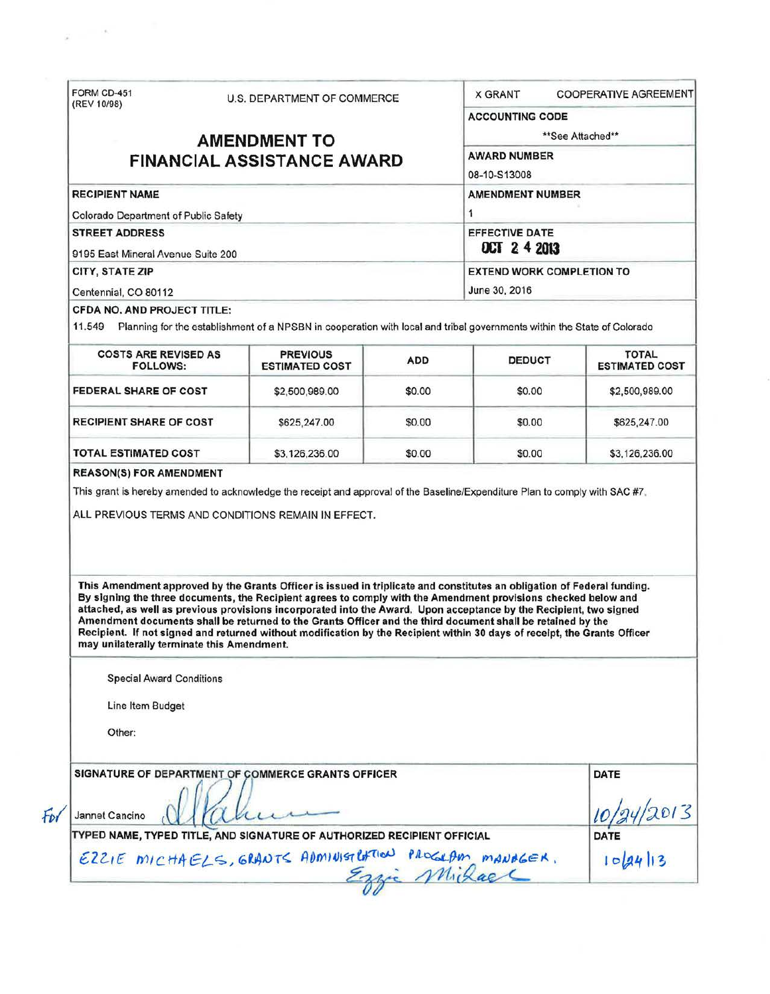|                                                                                                                                                                                                                                                                                                                                                                                                                                                                                                                                       |                                                                                                                         | U.S. DEPARTMENT OF COMMERCE |                                                   | <b>X GRANT</b><br><b>COOPERATIVE AGREEMENT</b>                                                                               |                     |
|---------------------------------------------------------------------------------------------------------------------------------------------------------------------------------------------------------------------------------------------------------------------------------------------------------------------------------------------------------------------------------------------------------------------------------------------------------------------------------------------------------------------------------------|-------------------------------------------------------------------------------------------------------------------------|-----------------------------|---------------------------------------------------|------------------------------------------------------------------------------------------------------------------------------|---------------------|
| (REV 10/98)<br><b>AMENDMENT TO</b><br><b>FINANCIAL ASSISTANCE AWARD</b>                                                                                                                                                                                                                                                                                                                                                                                                                                                               |                                                                                                                         |                             | <b>ACCOUNTING CODE</b><br>**See Attached**        |                                                                                                                              |                     |
|                                                                                                                                                                                                                                                                                                                                                                                                                                                                                                                                       |                                                                                                                         |                             |                                                   |                                                                                                                              | <b>AWARD NUMBER</b> |
|                                                                                                                                                                                                                                                                                                                                                                                                                                                                                                                                       |                                                                                                                         |                             | 08-10-S13008                                      |                                                                                                                              |                     |
|                                                                                                                                                                                                                                                                                                                                                                                                                                                                                                                                       |                                                                                                                         |                             | <b>RECIPIENT NAME</b>                             |                                                                                                                              |                     |
| Colorado Department of Public Safety                                                                                                                                                                                                                                                                                                                                                                                                                                                                                                  |                                                                                                                         |                             | 1                                                 |                                                                                                                              |                     |
| <b>STREET ADDRESS</b>                                                                                                                                                                                                                                                                                                                                                                                                                                                                                                                 |                                                                                                                         |                             | <b>EFFECTIVE DATE</b>                             |                                                                                                                              |                     |
| 9195 East Mineral Avenue Suite 200                                                                                                                                                                                                                                                                                                                                                                                                                                                                                                    |                                                                                                                         |                             | <b>OCT 2 4 2013</b>                               |                                                                                                                              |                     |
| CITY, STATE ZIP                                                                                                                                                                                                                                                                                                                                                                                                                                                                                                                       |                                                                                                                         |                             | <b>EXTEND WORK COMPLETION TO</b><br>June 30, 2016 |                                                                                                                              |                     |
| Centennial, CO 80112                                                                                                                                                                                                                                                                                                                                                                                                                                                                                                                  |                                                                                                                         |                             |                                                   |                                                                                                                              |                     |
| <b>CFDA NO, AND PROJECT TITLE:</b>                                                                                                                                                                                                                                                                                                                                                                                                                                                                                                    |                                                                                                                         |                             |                                                   |                                                                                                                              |                     |
| 11.549                                                                                                                                                                                                                                                                                                                                                                                                                                                                                                                                | Planning for the establishment of a NPSBN in cooperation with local and tribal governments within the State of Colorado |                             |                                                   |                                                                                                                              |                     |
| <b>COSTS ARE REVISED AS</b>                                                                                                                                                                                                                                                                                                                                                                                                                                                                                                           | <b>PREVIOUS</b>                                                                                                         |                             |                                                   | <b>TOTAL</b>                                                                                                                 |                     |
| <b>FOLLOWS:</b>                                                                                                                                                                                                                                                                                                                                                                                                                                                                                                                       | <b>ESTIMATED COST</b>                                                                                                   | <b>ADD</b>                  | <b>DEDUCT</b>                                     | <b>ESTIMATED COST</b>                                                                                                        |                     |
| <b>FEDERAL SHARE OF COST</b>                                                                                                                                                                                                                                                                                                                                                                                                                                                                                                          | \$2,500,989.00                                                                                                          | \$0.00                      | \$0.00                                            | \$2,500,989.00                                                                                                               |                     |
| <b>RECIPIENT SHARE OF COST</b>                                                                                                                                                                                                                                                                                                                                                                                                                                                                                                        | \$625,247.00                                                                                                            | \$0.00                      | \$0.00                                            | \$625,247.00                                                                                                                 |                     |
| <b>TOTAL ESTIMATED COST</b>                                                                                                                                                                                                                                                                                                                                                                                                                                                                                                           | \$3,126,236.00                                                                                                          | \$0.00                      | \$0.00                                            | \$3,126,236.00                                                                                                               |                     |
|                                                                                                                                                                                                                                                                                                                                                                                                                                                                                                                                       |                                                                                                                         |                             |                                                   | This grant is hereby amended to acknowledge the receipt and approval of the Baseline/Expenditure Plan to comply with SAC #7. |                     |
| ALL PREVIOUS TERMS AND CONDITIONS REMAIN IN EFFECT.<br>This Amendment approved by the Grants Officer is issued in triplicate and constitutes an obligation of Federal funding.<br>By signing the three documents, the Recipient agrees to comply with the Amendment provisions checked below and<br>attached, as well as previous provisions incorporated into the Award. Upon acceptance by the Recipient, two signed<br>Amendment documents shall be returned to the Grants Officer and the third document shall be retained by the |                                                                                                                         |                             |                                                   |                                                                                                                              |                     |
| Recipient. If not signed and returned without modification by the Recipient within 30 days of receipt, the Grants Officer<br>may unilaterally terminate this Amendment.                                                                                                                                                                                                                                                                                                                                                               |                                                                                                                         |                             |                                                   |                                                                                                                              |                     |
| <b>Special Award Conditions</b>                                                                                                                                                                                                                                                                                                                                                                                                                                                                                                       |                                                                                                                         |                             |                                                   |                                                                                                                              |                     |
| Line Item Budget                                                                                                                                                                                                                                                                                                                                                                                                                                                                                                                      |                                                                                                                         |                             |                                                   |                                                                                                                              |                     |
|                                                                                                                                                                                                                                                                                                                                                                                                                                                                                                                                       |                                                                                                                         |                             |                                                   |                                                                                                                              |                     |
| Other:                                                                                                                                                                                                                                                                                                                                                                                                                                                                                                                                |                                                                                                                         |                             |                                                   |                                                                                                                              |                     |
| SIGNATURE OF DEPARTMENT OF COMMERCE GRANTS OFFICER                                                                                                                                                                                                                                                                                                                                                                                                                                                                                    |                                                                                                                         |                             |                                                   | <b>DATE</b>                                                                                                                  |                     |
|                                                                                                                                                                                                                                                                                                                                                                                                                                                                                                                                       |                                                                                                                         |                             |                                                   |                                                                                                                              |                     |
| Jannet Cancino                                                                                                                                                                                                                                                                                                                                                                                                                                                                                                                        |                                                                                                                         |                             |                                                   |                                                                                                                              |                     |
| TYPED NAME, TYPED TITLE, AND SIGNATURE OF AUTHORIZED RECIPIENT OFFICIAL<br>EZZIE MICHAELS, GRANTS ADMINISTRATION PROGRAM MANAGER.                                                                                                                                                                                                                                                                                                                                                                                                     |                                                                                                                         |                             |                                                   | DATE<br>$ o a4  3$                                                                                                           |                     |

 $\tilde{g}=-\frac{\pi}{2}$